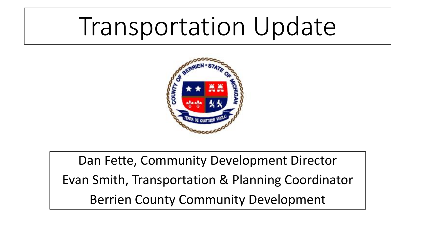# Transportation Update



Dan Fette, Community Development Director Evan Smith, Transportation & Planning Coordinator Berrien County Community Development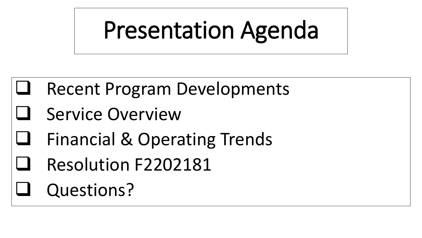# Presentation Agenda

# Recent Program Developments

- Service Overview
- Financial & Operating Trends
- Resolution F2202181
- Questions?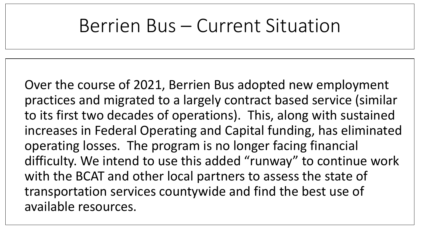# Berrien Bus – Current Situation

Over the course of 2021, Berrien Bus adopted new employment practices and migrated to a largely contract based service (similar to its first two decades of operations). This, along with sustained increases in Federal Operating and Capital funding, has eliminated operating losses. The program is no longer facing financial difficulty. We intend to use this added "runway" to continue work with the BCAT and other local partners to assess the state of transportation services countywide and find the best use of available resources.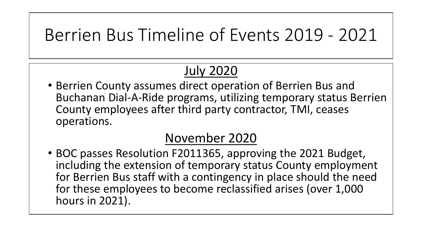# Berrien Bus Timeline of Events 2019 - 2021

### July 2020

• Berrien County assumes direct operation of Berrien Bus and Buchanan Dial-A-Ride programs, utilizing temporary status Berrien County employees after third party contractor, TMI, ceases operations.

#### November 2020

• BOC passes Resolution F2011365, approving the 2021 Budget, including the extension of temporary status County employment for Berrien Bus staff with a contingency in place should the need for these employees to become reclassified arises (over 1,000 hours in 2021).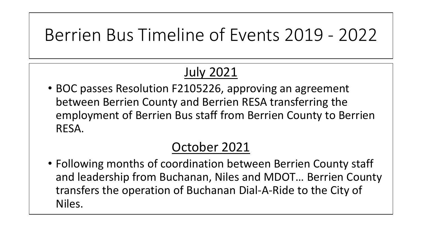# Berrien Bus Timeline of Events 2019 - 2022

### July 2021

• BOC passes Resolution F2105226, approving an agreement between Berrien County and Berrien RESA transferring the employment of Berrien Bus staff from Berrien County to Berrien RESA.

#### October 2021

• Following months of coordination between Berrien County staff and leadership from Buchanan, Niles and MDOT… Berrien County transfers the operation of Buchanan Dial-A-Ride to the City of Niles.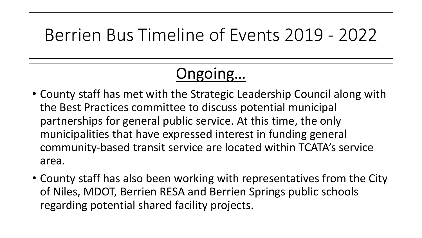## Berrien Bus Timeline of Events 2019 - 2022

## Ongoing…

- County staff has met with the Strategic Leadership Council along with the Best Practices committee to discuss potential municipal partnerships for general public service. At this time, the only municipalities that have expressed interest in funding general community-based transit service are located within TCATA's service area.
- County staff has also been working with representatives from the City of Niles, MDOT, Berrien RESA and Berrien Springs public schools regarding potential shared facility projects.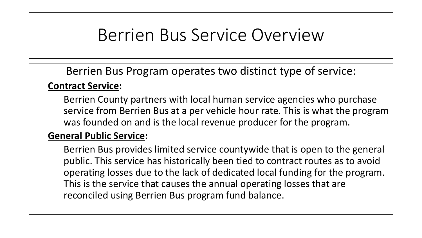## Berrien Bus Service Overview

Berrien Bus Program operates two distinct type of service:

#### **Contract Service:**

Berrien County partners with local human service agencies who purchase service from Berrien Bus at a per vehicle hour rate. This is what the program was founded on and is the local revenue producer for the program.

#### **General Public Service:**

Berrien Bus provides limited service countywide that is open to the general public. This service has historically been tied to contract routes as to avoid operating losses due to the lack of dedicated local funding for the program. This is the service that causes the annual operating losses that are reconciled using Berrien Bus program fund balance.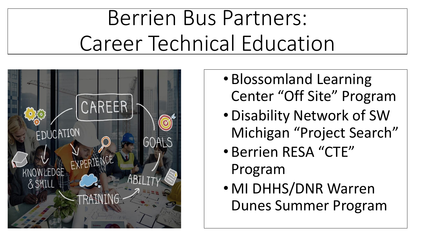# Berrien Bus Partners: Career Technical Education



- Blossomland Learning Center "Off Site" Program
- •Disability Network of SW Michigan "Project Search"
- Berrien RESA "CTE" Program
- MI DHHS/DNR Warren Dunes Summer Program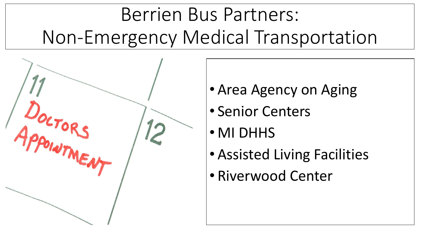# Berrien Bus Partners: Non-Emergency Medical Transportation



- Area Agency on Aging
- Senior Centers
- MI DHHS
- Assisted Living Facilities
- Riverwood Center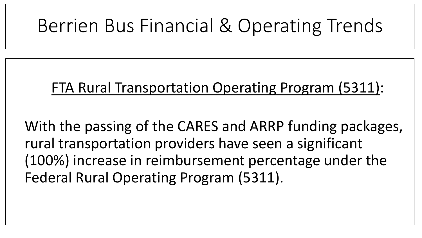# Berrien Bus Financial & Operating Trends

#### FTA Rural Transportation Operating Program (5311):

With the passing of the CARES and ARRP funding packages, rural transportation providers have seen a significant (100%) increase in reimbursement percentage under the Federal Rural Operating Program (5311).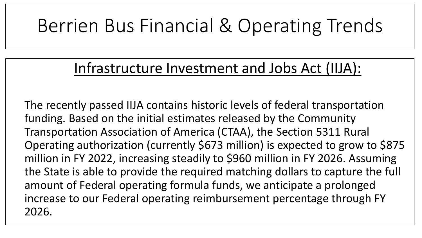# Berrien Bus Financial & Operating Trends

### Infrastructure Investment and Jobs Act (IIJA):

The recently passed IIJA contains historic levels of federal transportation funding. Based on the initial estimates released by the Community Transportation Association of America (CTAA), the Section 5311 Rural Operating authorization (currently \$673 million) is expected to grow to \$875 million in FY 2022, increasing steadily to \$960 million in FY 2026. Assuming the State is able to provide the required matching dollars to capture the full amount of Federal operating formula funds, we anticipate a prolonged increase to our Federal operating reimbursement percentage through FY 2026.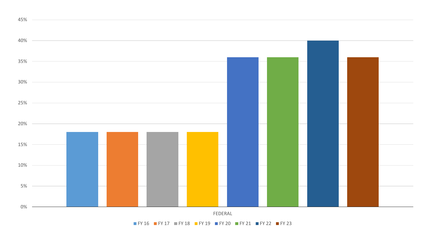

FY 16 FY 17 FY 18 FY 19 FY 20 FY 21 FY 22 FY 23

45%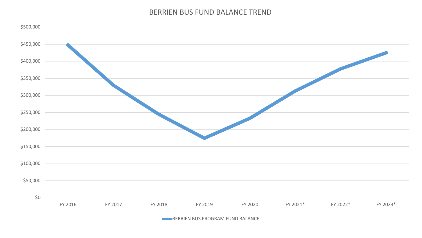#### BERRIEN BUS FUND BALANCE TREND



BERRIEN BUS PROGRAM FUND BALANCE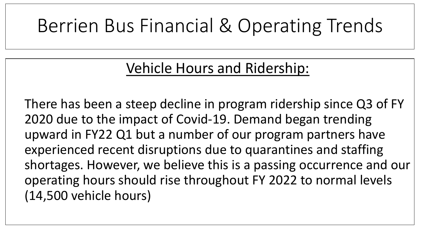# Berrien Bus Financial & Operating Trends

### Vehicle Hours and Ridership:

There has been a steep decline in program ridership since Q3 of FY 2020 due to the impact of Covid-19. Demand began trending upward in FY22 Q1 but a number of our program partners have experienced recent disruptions due to quarantines and staffing shortages. However, we believe this is a passing occurrence and our operating hours should rise throughout FY 2022 to normal levels (14,500 vehicle hours)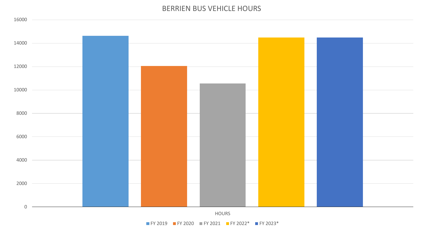#### BERRIEN BUS VEHICLE HOURS



FY 2019 FY 2020 FY 2021 FY 2022\* FY 2023\*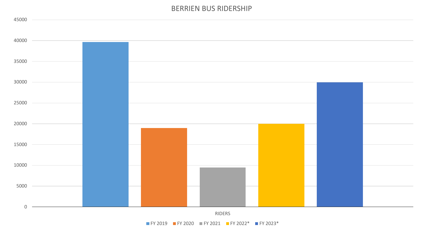#### BERRIEN BUS RIDERSHIP



FY 2019 FY 2020 FY 2021 FY 2022\* FY 2023\*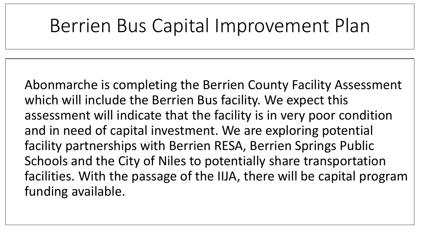# Berrien Bus Capital Improvement Plan

Abonmarche is completing the Berrien County Facility Assessment which will include the Berrien Bus facility. We expect this assessment will indicate that the facility is in very poor condition and in need of capital investment. We are exploring potential facility partnerships with Berrien RESA, Berrien Springs Public Schools and the City of Niles to potentially share transportation facilities. With the passage of the IIJA, there will be capital program funding available.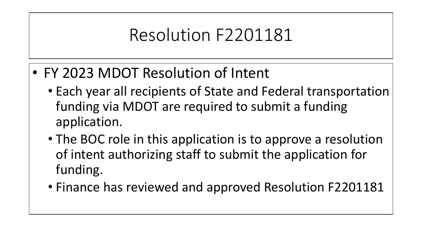# Resolution F2201181

- FY 2023 MDOT Resolution of Intent
	- Each year all recipients of State and Federal transportation funding via MDOT are required to submit a funding application.
	- The BOC role in this application is to approve a resolution of intent authorizing staff to submit the application for funding.
	- Finance has reviewed and approved Resolution F2201181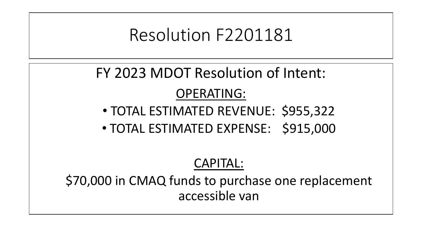## Resolution F2201181

### FY 2023 MDOT Resolution of Intent:

#### OPERATING:

- TOTAL ESTIMATED REVENUE: \$955,322
- TOTAL ESTIMATED EXPENSE: \$915,000

#### CAPITAL:

\$70,000 in CMAQ funds to purchase one replacement accessible van